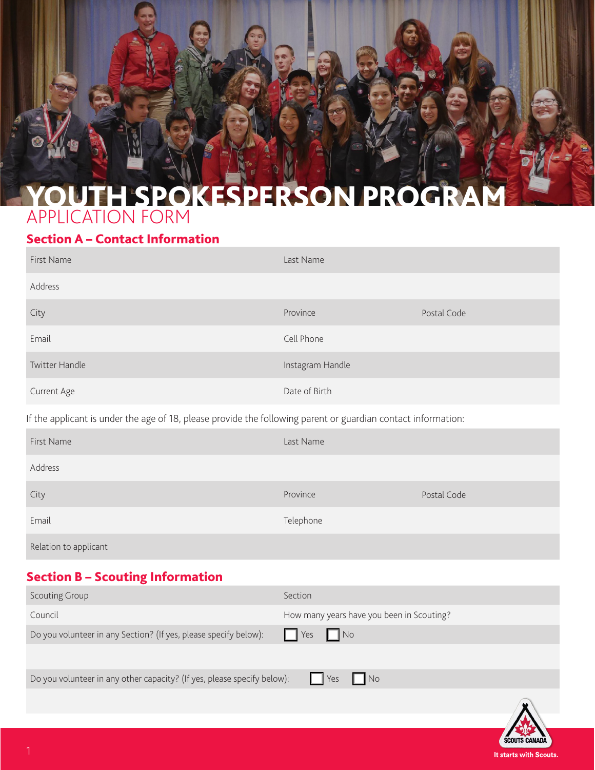

### Section A – Contact Information

| First Name                                                                                                    | Last Name        |             |  |  |
|---------------------------------------------------------------------------------------------------------------|------------------|-------------|--|--|
| Address                                                                                                       |                  |             |  |  |
| City                                                                                                          | Province         | Postal Code |  |  |
| Email                                                                                                         | Cell Phone       |             |  |  |
| Twitter Handle                                                                                                | Instagram Handle |             |  |  |
| Current Age                                                                                                   | Date of Birth    |             |  |  |
| If the applicant is under the age of 18, please provide the following parent or guardian contact information: |                  |             |  |  |
| First Name                                                                                                    | Last Name        |             |  |  |
| Address                                                                                                       |                  |             |  |  |
| City                                                                                                          | Province         | Postal Code |  |  |
| Email                                                                                                         | Telephone        |             |  |  |
| Relation to applicant                                                                                         |                  |             |  |  |

### Section B – Scouting Information

| <b>Scouting Group</b>                                                   | Section                                   |
|-------------------------------------------------------------------------|-------------------------------------------|
| Council                                                                 | How many years have you been in Scouting? |
| Do you volunteer in any Section? (If yes, please specify below):        | $\Box$ No<br>$\Box$ Yes                   |
|                                                                         |                                           |
| Do you volunteer in any other capacity? (If yes, please specify below): | $\Box$ No<br>$\vert \vert$ Yes            |
|                                                                         |                                           |
|                                                                         |                                           |
|                                                                         |                                           |

It starts with Scouts.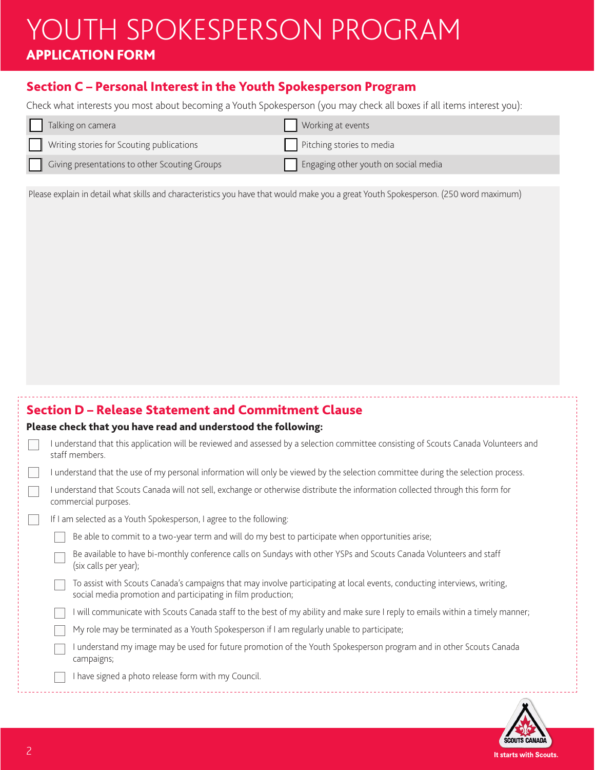## YOUTH SPOKESPERSON PROGRAM APPLICATION FORM

#### Section C – Personal Interest in the Youth Spokesperson Program

Check what interests you most about becoming a Youth Spokesperson (you may check all boxes if all items interest you):

| Talking on camera                             | Working at events                    |
|-----------------------------------------------|--------------------------------------|
| Writing stories for Scouting publications     | Pitching stories to media            |
| Giving presentations to other Scouting Groups | Engaging other youth on social media |

Please explain in detail what skills and characteristics you have that would make you a great Youth Spokesperson. (250 word maximum)

| <b>Section D - Release Statement and Commitment Clause</b>                                                                                                                               |
|------------------------------------------------------------------------------------------------------------------------------------------------------------------------------------------|
| Please check that you have read and understood the following:                                                                                                                            |
| understand that this application will be reviewed and assessed by a selection committee consisting of Scouts Canada Volunteers and<br>staff members.                                     |
| I understand that the use of my personal information will only be viewed by the selection committee during the selection process.                                                        |
| I understand that Scouts Canada will not sell, exchange or otherwise distribute the information collected through this form for<br>commercial purposes.                                  |
| If I am selected as a Youth Spokesperson, I agree to the following:                                                                                                                      |
| Be able to commit to a two-year term and will do my best to participate when opportunities arise;                                                                                        |
| Be available to have bi-monthly conference calls on Sundays with other YSPs and Scouts Canada Volunteers and staff<br>(six calls per year);                                              |
| To assist with Scouts Canada's campaigns that may involve participating at local events, conducting interviews, writing,<br>social media promotion and participating in film production; |
| I will communicate with Scouts Canada staff to the best of my ability and make sure I reply to emails within a timely manner;                                                            |
| My role may be terminated as a Youth Spokesperson if I am regularly unable to participate;                                                                                               |
| understand my image may be used for future promotion of the Youth Spokesperson program and in other Scouts Canada<br>campaigns;                                                          |
| I have signed a photo release form with my Council.                                                                                                                                      |